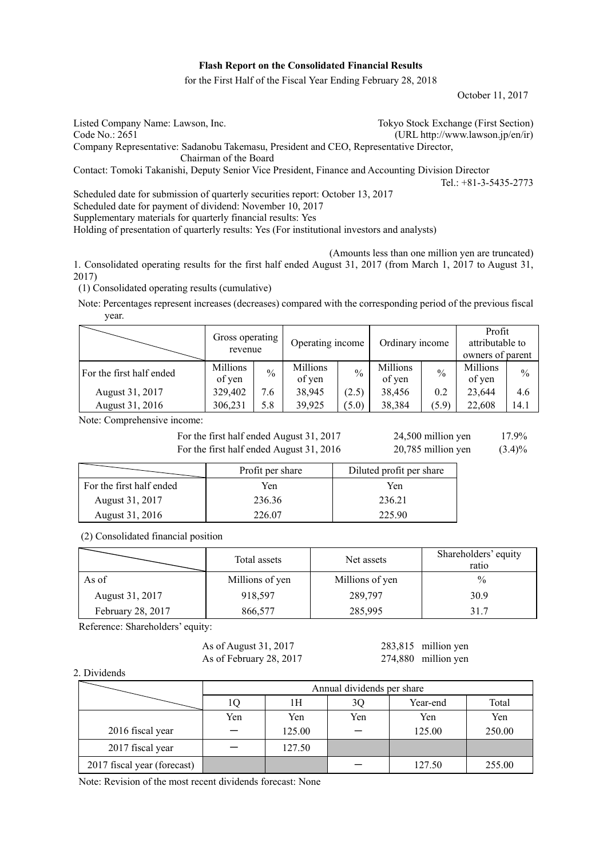#### **Flash Report on the Consolidated Financial Results**

for the First Half of the Fiscal Year Ending February 28, 2018

October 11, 2017

| Listed Company Name: Lawson, Inc.                                                                 | Tokyo Stock Exchange (First Section) |  |  |  |  |
|---------------------------------------------------------------------------------------------------|--------------------------------------|--|--|--|--|
| Code No.: 2651                                                                                    | (URL http://www.lawson.jp/en/ir)     |  |  |  |  |
| Company Representative: Sadanobu Takemasu, President and CEO, Representative Director,            |                                      |  |  |  |  |
| Chairman of the Board                                                                             |                                      |  |  |  |  |
| Contact: Tomoki Takanishi, Deputy Senior Vice President, Finance and Accounting Division Director |                                      |  |  |  |  |
|                                                                                                   | Tel.: $+81-3-5435-2773$              |  |  |  |  |
| Scheduled date for submission of quarterly securities report: October 13, 2017                    |                                      |  |  |  |  |

Scheduled date for payment of dividend: November 10, 2017

Supplementary materials for quarterly financial results: Yes

Holding of presentation of quarterly results: Yes (For institutional investors and analysts)

(Amounts less than one million yen are truncated)

1. Consolidated operating results for the first half ended August 31, 2017 (from March 1, 2017 to August 31, 2017)

(1) Consolidated operating results (cumulative)

Note: Percentages represent increases (decreases) compared with the corresponding period of the previous fiscal year.

|                          | Gross operating<br>revenue |               | Operating income   |               | Ordinary income    |               | Profit<br>attributable to<br>owners of parent |               |
|--------------------------|----------------------------|---------------|--------------------|---------------|--------------------|---------------|-----------------------------------------------|---------------|
| For the first half ended | Millions<br>of yen         | $\frac{0}{0}$ | Millions<br>of yen | $\frac{0}{0}$ | Millions<br>of yen | $\frac{0}{0}$ | Millions<br>of yen                            | $\frac{0}{0}$ |
| August 31, 2017          | 329,402                    | 7.6           | 38,945             | (2.5)         | 38,456             | 0.2           | 23,644                                        | 4.6           |
| August 31, 2016          | 306,231                    | 5.8           | 39,925             | (5.0)         | 38,384             | (5.9)         | 22,608                                        | 14.1          |

Note: Comprehensive income:

For the first half ended August 31, 2017 24,500 million yen 17.9% For the first half ended August 31, 2016 20,785 million yen (3.4)%

|                          | Profit per share | Diluted profit per share |
|--------------------------|------------------|--------------------------|
| For the first half ended | Yen              | Yen                      |
| August 31, 2017          | 236.36           | 236.21                   |
| August 31, 2016          | 226.07           | 225.90                   |

(2) Consolidated financial position

|                   | Total assets    | Net assets      | Shareholders' equity<br>ratio |
|-------------------|-----------------|-----------------|-------------------------------|
| As of             | Millions of yen | Millions of yen | $\frac{0}{0}$                 |
| August 31, 2017   | 918,597         | 289,797         | 30.9                          |
| February 28, 2017 | 866,577         | 285,995         | 31.7                          |

Reference: Shareholders' equity:

As of August 31, 2017 283,815 million yen As of February 28, 2017 274,880 million yen

2. Dividends

|                             |     | Annual dividends per share |     |          |        |  |  |
|-----------------------------|-----|----------------------------|-----|----------|--------|--|--|
|                             | ιQ  | 1Н                         | 3Q  | Year-end | Total  |  |  |
|                             | Yen | Yen                        | Yen | Yen      | Yen    |  |  |
| 2016 fiscal year            |     | 125.00                     |     | 125.00   | 250.00 |  |  |
| 2017 fiscal year            |     | 127.50                     |     |          |        |  |  |
| 2017 fiscal year (forecast) |     |                            |     | 127.50   | 255.00 |  |  |

Note: Revision of the most recent dividends forecast: None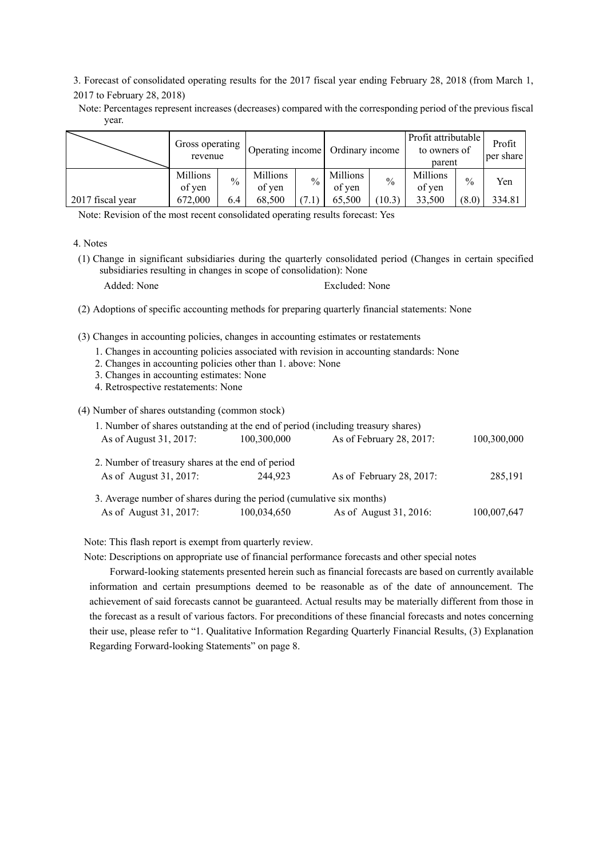3. Forecast of consolidated operating results for the 2017 fiscal year ending February 28, 2018 (from March 1, 2017 to February 28, 2018)

Note: Percentages represent increases (decreases) compared with the corresponding period of the previous fiscal year.

|                  | Gross operating<br>revenue |               | Operating income   |               | Ordinary income    |               | Profit attributable<br>to owners of<br>parent |               | Profit<br>per share |
|------------------|----------------------------|---------------|--------------------|---------------|--------------------|---------------|-----------------------------------------------|---------------|---------------------|
|                  | Millions<br>of yen         | $\frac{0}{0}$ | Millions<br>of yen | $\frac{0}{0}$ | Millions<br>of yen | $\frac{0}{0}$ | Millions<br>of yen                            | $\frac{0}{0}$ | Yen                 |
| 2017 fiscal year | 672,000                    | 6.4           | 68.500             |               | 65,500             | 10.3)         | 33.500                                        | (8.0)         | 334.81              |

Note: Revision of the most recent consolidated operating results forecast: Yes

(1) Change in significant subsidiaries during the quarterly consolidated period (Changes in certain specified subsidiaries resulting in changes in scope of consolidation): None

Added: None Excluded: None

- (2) Adoptions of specific accounting methods for preparing quarterly financial statements: None
- (3) Changes in accounting policies, changes in accounting estimates or restatements
	- 1. Changes in accounting policies associated with revision in accounting standards: None
	- 2. Changes in accounting policies other than 1. above: None
	- 3. Changes in accounting estimates: None
	- 4. Retrospective restatements: None

(4) Number of shares outstanding (common stock)

| 1. Number of shares outstanding at the end of period (including treasury shares) |             |                          |             |
|----------------------------------------------------------------------------------|-------------|--------------------------|-------------|
| As of August 31, 2017:                                                           | 100,300,000 | As of February 28, 2017: | 100,300,000 |
| 2. Number of treasury shares at the end of period                                |             |                          |             |
| As of August 31, 2017:                                                           | 244.923     | As of February 28, 2017: | 285,191     |
|                                                                                  |             |                          |             |
| 3. Average number of shares during the period (cumulative six months)            |             |                          |             |
| As of August 31, 2017:                                                           | 100,034,650 | As of August 31, 2016:   | 100,007,647 |
|                                                                                  |             |                          |             |

Note: This flash report is exempt from quarterly review.

Note: Descriptions on appropriate use of financial performance forecasts and other special notes

Forward-looking statements presented herein such as financial forecasts are based on currently available information and certain presumptions deemed to be reasonable as of the date of announcement. The achievement of said forecasts cannot be guaranteed. Actual results may be materially different from those in the forecast as a result of various factors. For preconditions of these financial forecasts and notes concerning their use, please refer to "1. Qualitative Information Regarding Quarterly Financial Results, (3) Explanation Regarding Forward-looking Statements" on page 8.

<sup>4.</sup> Notes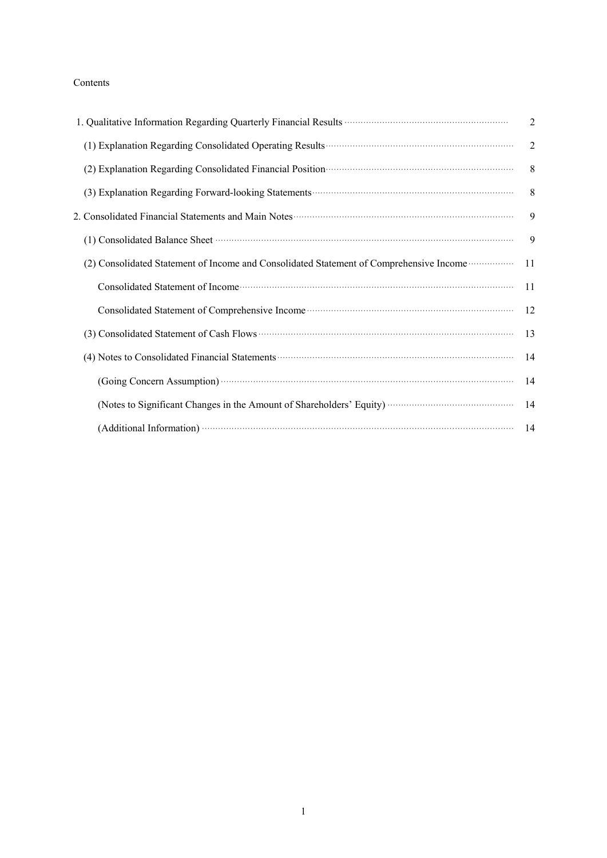## Contents

| 1. Qualitative Information Regarding Quarterly Financial Results <b>Conserversion Conserversity</b> Conserversity Conserversity                                                                                                | $\overline{2}$ |
|--------------------------------------------------------------------------------------------------------------------------------------------------------------------------------------------------------------------------------|----------------|
|                                                                                                                                                                                                                                | $\overline{2}$ |
| (2) Explanation Regarding Consolidated Financial Position (2) Explanation Regarding Consolidated Financial Position (3)                                                                                                        | 8              |
|                                                                                                                                                                                                                                | 8              |
|                                                                                                                                                                                                                                | 9              |
| (1) Consolidated Balance Sheet manufactured and a series of the Sheet manufactured and a series of the Sheet manufactured and series of the Sheet manufactured and series of the Sheet manufactured and series of the Sheet ma | 9              |
| (2) Consolidated Statement of Income and Consolidated Statement of Comprehensive Income materials                                                                                                                              | 11             |
| Consolidated Statement of Income contact the material contact of the material statement of Income contact the material statement of $\sim$                                                                                     | 11             |
|                                                                                                                                                                                                                                | 12             |
| (3) Consolidated Statement of Cash Flows (3) Consolidated Statement of Cash Flows (3) Consolidated Statement of Cash Flows (3) Consolidated Statement of Cash Flows (3) Consolidated Statement of Cash Flows (3) and $(3)$     | 13             |
| (4) Notes to Consolidated Financial Statements (2001) and the Consolidated Financial Statements (2001) and the Consolidated Financial Statements (2003) and the Consolidated Financial Statements (2003) and the Consolidated  | 14             |
| (Going Concern Assumption) <b>Concern Assumption</b>                                                                                                                                                                           | 14             |
|                                                                                                                                                                                                                                | 14             |
| (Additional Information) <b>With the Contract of Additional Information</b>                                                                                                                                                    | - 14           |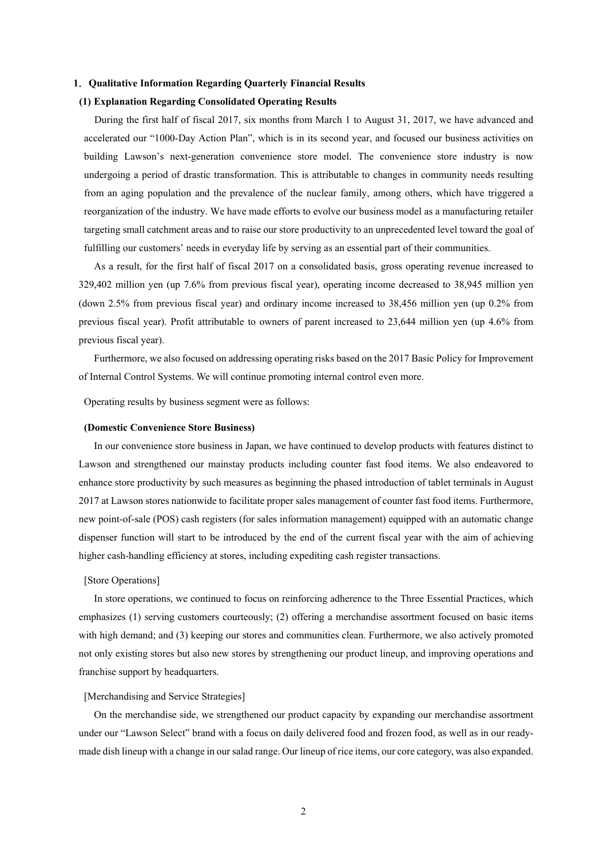#### **1**.**Qualitative Information Regarding Quarterly Financial Results**

#### **(1) Explanation Regarding Consolidated Operating Results**

During the first half of fiscal 2017, six months from March 1 to August 31, 2017, we have advanced and accelerated our "1000-Day Action Plan", which is in its second year, and focused our business activities on building Lawson's next-generation convenience store model. The convenience store industry is now undergoing a period of drastic transformation. This is attributable to changes in community needs resulting from an aging population and the prevalence of the nuclear family, among others, which have triggered a reorganization of the industry. We have made efforts to evolve our business model as a manufacturing retailer targeting small catchment areas and to raise our store productivity to an unprecedented level toward the goal of fulfilling our customers' needs in everyday life by serving as an essential part of their communities.

As a result, for the first half of fiscal 2017 on a consolidated basis, gross operating revenue increased to 329,402 million yen (up 7.6% from previous fiscal year), operating income decreased to 38,945 million yen (down 2.5% from previous fiscal year) and ordinary income increased to 38,456 million yen (up 0.2% from previous fiscal year). Profit attributable to owners of parent increased to 23,644 million yen (up 4.6% from previous fiscal year).

Furthermore, we also focused on addressing operating risks based on the 2017 Basic Policy for Improvement of Internal Control Systems. We will continue promoting internal control even more.

Operating results by business segment were as follows:

#### **(Domestic Convenience Store Business)**

In our convenience store business in Japan, we have continued to develop products with features distinct to Lawson and strengthened our mainstay products including counter fast food items. We also endeavored to enhance store productivity by such measures as beginning the phased introduction of tablet terminals in August 2017 at Lawson stores nationwide to facilitate proper sales management of counter fast food items. Furthermore, new point-of-sale (POS) cash registers (for sales information management) equipped with an automatic change dispenser function will start to be introduced by the end of the current fiscal year with the aim of achieving higher cash-handling efficiency at stores, including expediting cash register transactions.

#### [Store Operations]

In store operations, we continued to focus on reinforcing adherence to the Three Essential Practices, which emphasizes (1) serving customers courteously; (2) offering a merchandise assortment focused on basic items with high demand; and (3) keeping our stores and communities clean. Furthermore, we also actively promoted not only existing stores but also new stores by strengthening our product lineup, and improving operations and franchise support by headquarters.

## [Merchandising and Service Strategies]

On the merchandise side, we strengthened our product capacity by expanding our merchandise assortment under our "Lawson Select" brand with a focus on daily delivered food and frozen food, as well as in our readymade dish lineup with a change in our salad range. Our lineup of rice items, our core category, was also expanded.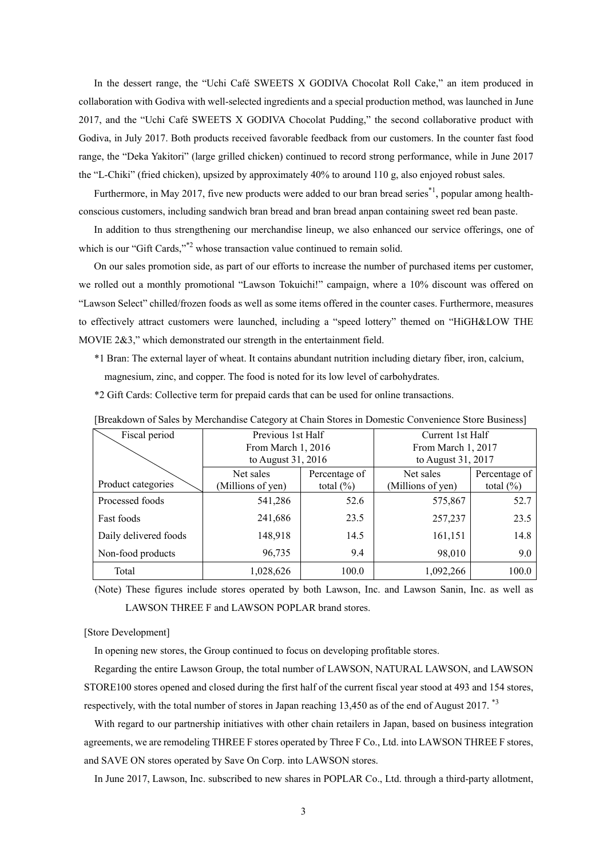In the dessert range, the "Uchi Café SWEETS X GODIVA Chocolat Roll Cake," an item produced in collaboration with Godiva with well-selected ingredients and a special production method, was launched in June 2017, and the "Uchi Café SWEETS X GODIVA Chocolat Pudding," the second collaborative product with Godiva, in July 2017. Both products received favorable feedback from our customers. In the counter fast food range, the "Deka Yakitori" (large grilled chicken) continued to record strong performance, while in June 2017 the "L-Chiki" (fried chicken), upsized by approximately 40% to around 110 g, also enjoyed robust sales.

Furthermore, in May 2017, five new products were added to our bran bread series<sup>\*1</sup>, popular among healthconscious customers, including sandwich bran bread and bran bread anpan containing sweet red bean paste.

In addition to thus strengthening our merchandise lineup, we also enhanced our service offerings, one of which is our "Gift Cards,"<sup>\*2</sup> whose transaction value continued to remain solid.

On our sales promotion side, as part of our efforts to increase the number of purchased items per customer, we rolled out a monthly promotional "Lawson Tokuichi!" campaign, where a 10% discount was offered on "Lawson Select" chilled/frozen foods as well as some items offered in the counter cases. Furthermore, measures to effectively attract customers were launched, including a "speed lottery" themed on "HiGH&LOW THE MOVIE 2&3," which demonstrated our strength in the entertainment field.

\*1 Bran: The external layer of wheat. It contains abundant nutrition including dietary fiber, iron, calcium, magnesium, zinc, and copper. The food is noted for its low level of carbohydrates.

\*2 Gift Cards: Collective term for prepaid cards that can be used for online transactions.

| Fiscal period         | Previous 1st Half  |               | Current 1st Half   |               |  |
|-----------------------|--------------------|---------------|--------------------|---------------|--|
|                       | From March 1, 2016 |               | From March 1, 2017 |               |  |
|                       | to August 31, 2016 |               | to August 31, 2017 |               |  |
|                       | Net sales          | Percentage of | Net sales          | Percentage of |  |
| Product categories    | (Millions of yen)  | total $(\% )$ | (Millions of yen)  | total $(\% )$ |  |
| Processed foods       | 541,286            | 52.6          | 575,867            | 52.7          |  |
| Fast foods            | 241,686            | 23.5          | 257,237            | 23.5          |  |
| Daily delivered foods | 148,918            | 14.5          | 161,151            | 14.8          |  |
| Non-food products     | 96,735             | 9.4           | 98,010             | 9.0           |  |
| Total                 | 1,028,626          | 100.0         | 1,092,266          | 100.0         |  |

[Breakdown of Sales by Merchandise Category at Chain Stores in Domestic Convenience Store Business]

(Note) These figures include stores operated by both Lawson, Inc. and Lawson Sanin, Inc. as well as LAWSON THREE F and LAWSON POPLAR brand stores.

#### [Store Development]

In opening new stores, the Group continued to focus on developing profitable stores.

Regarding the entire Lawson Group, the total number of LAWSON, NATURAL LAWSON, and LAWSON STORE100 stores opened and closed during the first half of the current fiscal year stood at 493 and 154 stores, respectively, with the total number of stores in Japan reaching 13,450 as of the end of August 2017. \*3

With regard to our partnership initiatives with other chain retailers in Japan, based on business integration agreements, we are remodeling THREE F stores operated by Three F Co., Ltd. into LAWSON THREE F stores, and SAVE ON stores operated by Save On Corp. into LAWSON stores.

In June 2017, Lawson, Inc. subscribed to new shares in POPLAR Co., Ltd. through a third-party allotment,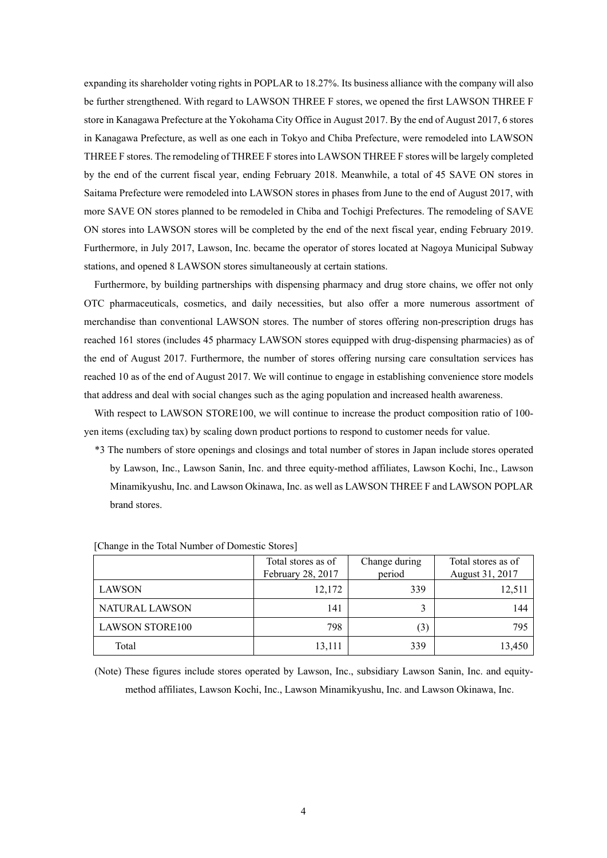expanding its shareholder voting rights in POPLAR to 18.27%. Its business alliance with the company will also be further strengthened. With regard to LAWSON THREE F stores, we opened the first LAWSON THREE F store in Kanagawa Prefecture at the Yokohama City Office in August 2017. By the end of August 2017, 6 stores in Kanagawa Prefecture, as well as one each in Tokyo and Chiba Prefecture, were remodeled into LAWSON THREE F stores. The remodeling of THREE F stores into LAWSON THREE F stores will be largely completed by the end of the current fiscal year, ending February 2018. Meanwhile, a total of 45 SAVE ON stores in Saitama Prefecture were remodeled into LAWSON stores in phases from June to the end of August 2017, with more SAVE ON stores planned to be remodeled in Chiba and Tochigi Prefectures. The remodeling of SAVE ON stores into LAWSON stores will be completed by the end of the next fiscal year, ending February 2019. Furthermore, in July 2017, Lawson, Inc. became the operator of stores located at Nagoya Municipal Subway stations, and opened 8 LAWSON stores simultaneously at certain stations.

Furthermore, by building partnerships with dispensing pharmacy and drug store chains, we offer not only OTC pharmaceuticals, cosmetics, and daily necessities, but also offer a more numerous assortment of merchandise than conventional LAWSON stores. The number of stores offering non-prescription drugs has reached 161 stores (includes 45 pharmacy LAWSON stores equipped with drug-dispensing pharmacies) as of the end of August 2017. Furthermore, the number of stores offering nursing care consultation services has reached 10 as of the end of August 2017. We will continue to engage in establishing convenience store models that address and deal with social changes such as the aging population and increased health awareness.

With respect to LAWSON STORE100, we will continue to increase the product composition ratio of 100yen items (excluding tax) by scaling down product portions to respond to customer needs for value.

\*3 The numbers of store openings and closings and total number of stores in Japan include stores operated by Lawson, Inc., Lawson Sanin, Inc. and three equity-method affiliates, Lawson Kochi, Inc., Lawson Minamikyushu, Inc. and Lawson Okinawa, Inc. as well as LAWSON THREE F and LAWSON POPLAR brand stores.

|                        | Total stores as of<br>February 28, 2017 | Change during<br>period | Total stores as of<br>August 31, 2017 |
|------------------------|-----------------------------------------|-------------------------|---------------------------------------|
| LAWSON                 | 12,172                                  | 339                     | 12,511                                |
| NATURAL LAWSON         | 141                                     | 3                       | 144                                   |
| <b>LAWSON STORE100</b> | 798                                     | (3)                     | 795                                   |
| Total                  | 13,111                                  | 339                     | 13,450                                |

[Change in the Total Number of Domestic Stores]

(Note) These figures include stores operated by Lawson, Inc., subsidiary Lawson Sanin, Inc. and equitymethod affiliates, Lawson Kochi, Inc., Lawson Minamikyushu, Inc. and Lawson Okinawa, Inc.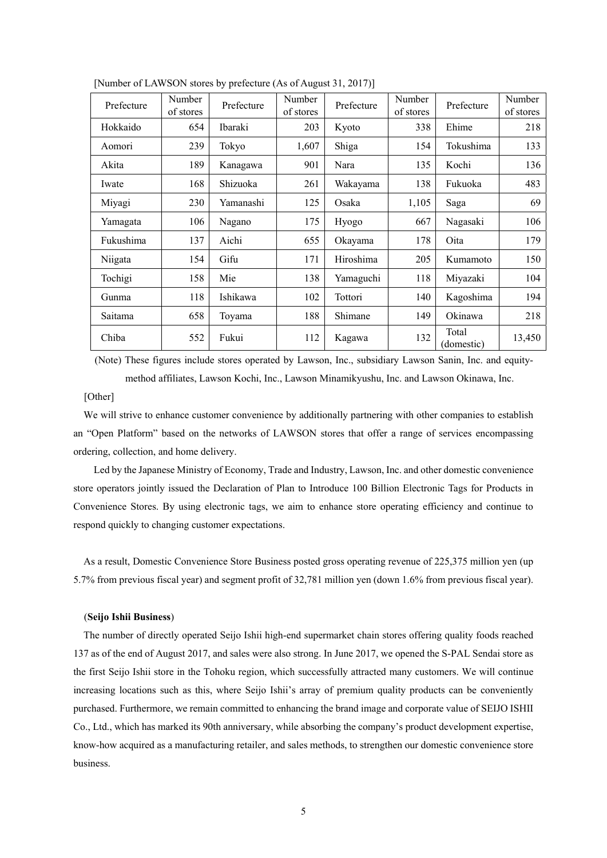| Prefecture | Number<br>of stores | Prefecture     | Number<br>of stores | Prefecture | Number<br>of stores | Prefecture          | Number<br>of stores |
|------------|---------------------|----------------|---------------------|------------|---------------------|---------------------|---------------------|
| Hokkaido   | 654                 | <b>Ibaraki</b> | 203                 | Kyoto      | 338                 | Ehime               | 218                 |
| Aomori     | 239                 | Tokyo          | 1,607               | Shiga      | 154                 | Tokushima           | 133                 |
| Akita      | 189                 | Kanagawa       | 901                 | Nara       | 135                 | Kochi               | 136                 |
| Iwate      | 168                 | Shizuoka       | 261                 | Wakayama   | 138                 | Fukuoka             | 483                 |
| Miyagi     | 230                 | Yamanashi      | 125                 | Osaka      | 1,105               | Saga                | 69                  |
| Yamagata   | 106                 | Nagano         | 175                 | Hyogo      | 667                 | Nagasaki            | 106                 |
| Fukushima  | 137                 | Aichi          | 655                 | Okayama    | 178                 | Oita                | 179                 |
| Niigata    | 154                 | Gifu           | 171                 | Hiroshima  | 205                 | Kumamoto            | 150                 |
| Tochigi    | 158                 | Mie            | 138                 | Yamaguchi  | 118                 | Miyazaki            | 104                 |
| Gunma      | 118                 | Ishikawa       | 102                 | Tottori    | 140                 | Kagoshima           | 194                 |
| Saitama    | 658                 | Toyama         | 188                 | Shimane    | 149                 | Okinawa             | 218                 |
| Chiba      | 552                 | Fukui          | 112                 | Kagawa     | 132                 | Total<br>(domestic) | 13,450              |

[Number of LAWSON stores by prefecture (As of August 31, 2017)]

(Note) These figures include stores operated by Lawson, Inc., subsidiary Lawson Sanin, Inc. and equitymethod affiliates, Lawson Kochi, Inc., Lawson Minamikyushu, Inc. and Lawson Okinawa, Inc.

## [Other]

We will strive to enhance customer convenience by additionally partnering with other companies to establish an "Open Platform" based on the networks of LAWSON stores that offer a range of services encompassing ordering, collection, and home delivery.

 Led by the Japanese Ministry of Economy, Trade and Industry, Lawson, Inc. and other domestic convenience store operators jointly issued the Declaration of Plan to Introduce 100 Billion Electronic Tags for Products in Convenience Stores. By using electronic tags, we aim to enhance store operating efficiency and continue to respond quickly to changing customer expectations.

As a result, Domestic Convenience Store Business posted gross operating revenue of 225,375 million yen (up 5.7% from previous fiscal year) and segment profit of 32,781 million yen (down 1.6% from previous fiscal year).

#### (**Seijo Ishii Business**)

The number of directly operated Seijo Ishii high-end supermarket chain stores offering quality foods reached 137 as of the end of August 2017, and sales were also strong. In June 2017, we opened the S-PAL Sendai store as the first Seijo Ishii store in the Tohoku region, which successfully attracted many customers. We will continue increasing locations such as this, where Seijo Ishii's array of premium quality products can be conveniently purchased. Furthermore, we remain committed to enhancing the brand image and corporate value of SEIJO ISHII Co., Ltd., which has marked its 90th anniversary, while absorbing the company's product development expertise, know-how acquired as a manufacturing retailer, and sales methods, to strengthen our domestic convenience store business.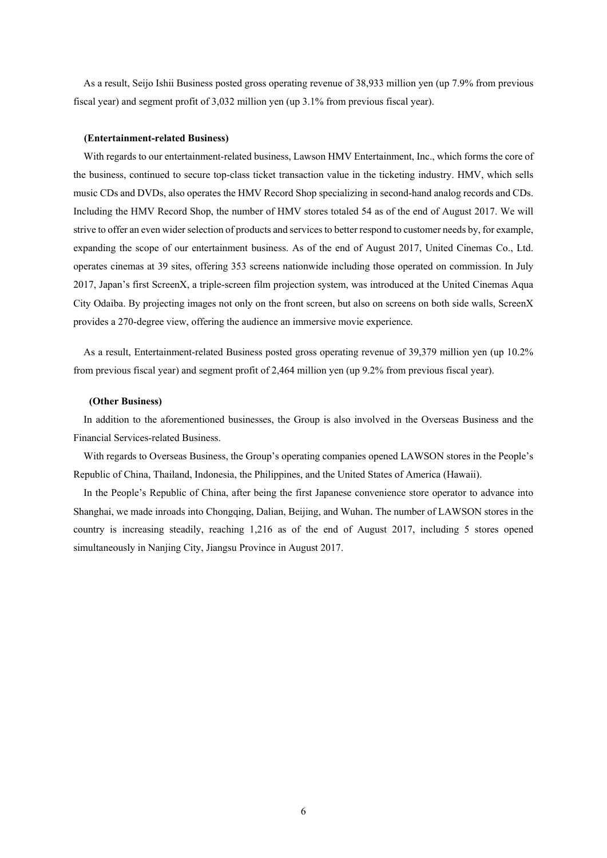As a result, Seijo Ishii Business posted gross operating revenue of 38,933 million yen (up 7.9% from previous fiscal year) and segment profit of 3,032 million yen (up 3.1% from previous fiscal year).

#### **(Entertainment-related Business)**

With regards to our entertainment-related business, Lawson HMV Entertainment, Inc., which forms the core of the business, continued to secure top-class ticket transaction value in the ticketing industry. HMV, which sells music CDs and DVDs, also operates the HMV Record Shop specializing in second-hand analog records and CDs. Including the HMV Record Shop, the number of HMV stores totaled 54 as of the end of August 2017. We will strive to offer an even wider selection of products and services to better respond to customer needs by, for example, expanding the scope of our entertainment business. As of the end of August 2017, United Cinemas Co., Ltd. operates cinemas at 39 sites, offering 353 screens nationwide including those operated on commission. In July 2017, Japan's first ScreenX, a triple-screen film projection system, was introduced at the United Cinemas Aqua City Odaiba. By projecting images not only on the front screen, but also on screens on both side walls, ScreenX provides a 270-degree view, offering the audience an immersive movie experience.

As a result, Entertainment-related Business posted gross operating revenue of 39,379 million yen (up 10.2% from previous fiscal year) and segment profit of 2,464 million yen (up 9.2% from previous fiscal year).

#### **(Other Business)**

In addition to the aforementioned businesses, the Group is also involved in the Overseas Business and the Financial Services-related Business.

With regards to Overseas Business, the Group's operating companies opened LAWSON stores in the People's Republic of China, Thailand, Indonesia, the Philippines, and the United States of America (Hawaii).

In the People's Republic of China, after being the first Japanese convenience store operator to advance into Shanghai, we made inroads into Chongqing, Dalian, Beijing, and Wuhan. The number of LAWSON stores in the country is increasing steadily, reaching 1,216 as of the end of August 2017, including 5 stores opened simultaneously in Nanjing City, Jiangsu Province in August 2017.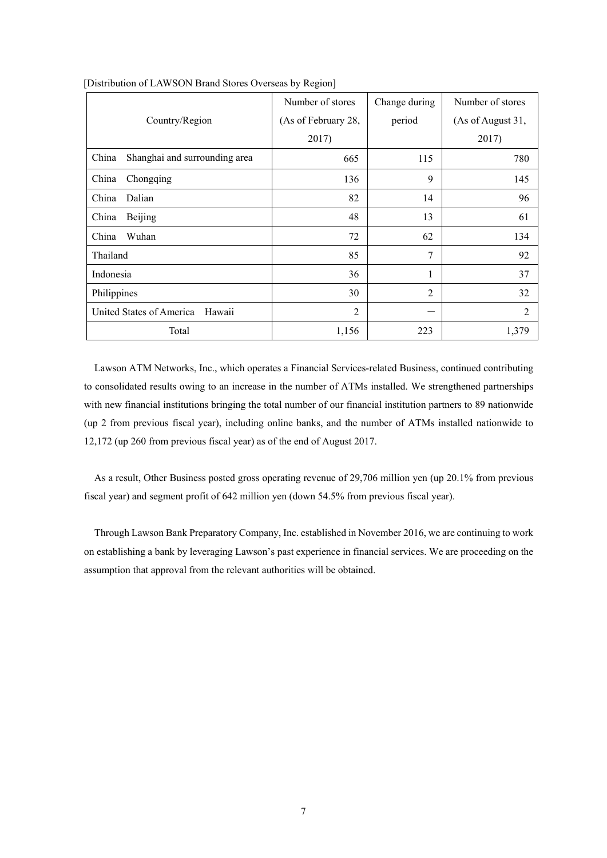|                                        | Number of stores    | Change during | Number of stores  |
|----------------------------------------|---------------------|---------------|-------------------|
| Country/Region                         | (As of February 28, | period        | (As of August 31, |
|                                        | 2017)               |               | 2017)             |
| China<br>Shanghai and surrounding area | 665                 | 115           | 780               |
| China<br>Chongqing                     | 136                 | 9             | 145               |
| Dalian<br>China                        | 82                  | 14            | 96                |
| China<br>Beijing                       | 48                  | 13            | 61                |
| Wuhan<br>China                         | 72                  | 62            | 134               |
| Thailand                               | 85                  | 7             | 92                |
| Indonesia                              | 36                  | 1             | 37                |
| Philippines                            | 30                  | 2             | 32                |
| United States of America<br>Hawaii     | $\overline{c}$      |               | 2                 |
| Total                                  | 1,156               | 223           | 1,379             |

#### [Distribution of LAWSON Brand Stores Overseas by Region]

Lawson ATM Networks, Inc., which operates a Financial Services-related Business, continued contributing to consolidated results owing to an increase in the number of ATMs installed. We strengthened partnerships with new financial institutions bringing the total number of our financial institution partners to 89 nationwide (up 2 from previous fiscal year), including online banks, and the number of ATMs installed nationwide to 12,172 (up 260 from previous fiscal year) as of the end of August 2017.

As a result, Other Business posted gross operating revenue of 29,706 million yen (up 20.1% from previous fiscal year) and segment profit of 642 million yen (down 54.5% from previous fiscal year).

Through Lawson Bank Preparatory Company, Inc. established in November 2016, we are continuing to work on establishing a bank by leveraging Lawson's past experience in financial services. We are proceeding on the assumption that approval from the relevant authorities will be obtained.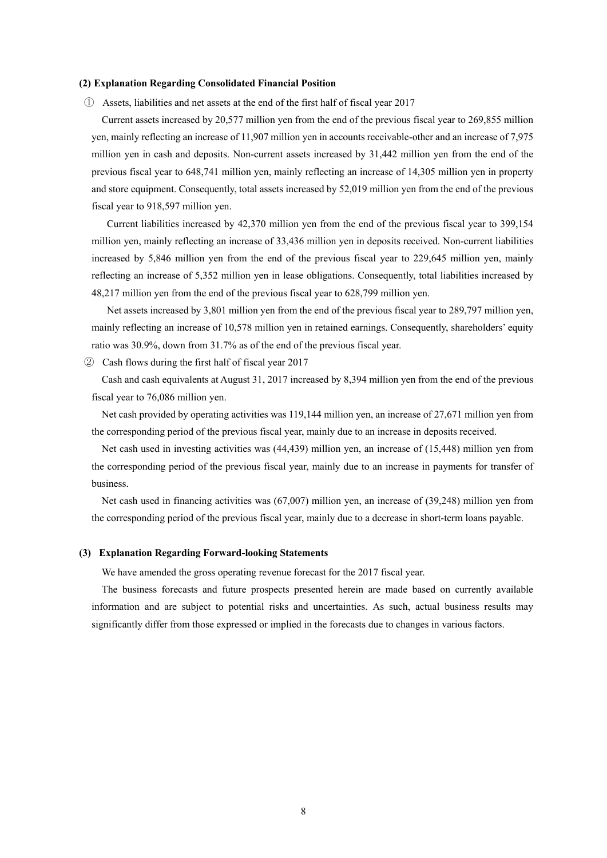#### **(2) Explanation Regarding Consolidated Financial Position**

① Assets, liabilities and net assets at the end of the first half of fiscal year 2017

Current assets increased by 20,577 million yen from the end of the previous fiscal year to 269,855 million yen, mainly reflecting an increase of 11,907 million yen in accounts receivable-other and an increase of 7,975 million yen in cash and deposits. Non-current assets increased by 31,442 million yen from the end of the previous fiscal year to 648,741 million yen, mainly reflecting an increase of 14,305 million yen in property and store equipment. Consequently, total assets increased by 52,019 million yen from the end of the previous fiscal year to 918,597 million yen.

 Current liabilities increased by 42,370 million yen from the end of the previous fiscal year to 399,154 million yen, mainly reflecting an increase of 33,436 million yen in deposits received. Non-current liabilities increased by 5,846 million yen from the end of the previous fiscal year to 229,645 million yen, mainly reflecting an increase of 5,352 million yen in lease obligations. Consequently, total liabilities increased by 48,217 million yen from the end of the previous fiscal year to 628,799 million yen.

 Net assets increased by 3,801 million yen from the end of the previous fiscal year to 289,797 million yen, mainly reflecting an increase of 10,578 million yen in retained earnings. Consequently, shareholders' equity ratio was 30.9%, down from 31.7% as of the end of the previous fiscal year.

② Cash flows during the first half of fiscal year 2017

Cash and cash equivalents at August 31, 2017 increased by 8,394 million yen from the end of the previous fiscal year to 76,086 million yen.

Net cash provided by operating activities was 119,144 million yen, an increase of 27,671 million yen from the corresponding period of the previous fiscal year, mainly due to an increase in deposits received.

Net cash used in investing activities was (44,439) million yen, an increase of (15,448) million yen from the corresponding period of the previous fiscal year, mainly due to an increase in payments for transfer of business.

Net cash used in financing activities was (67,007) million yen, an increase of (39,248) million yen from the corresponding period of the previous fiscal year, mainly due to a decrease in short-term loans payable.

#### **(3) Explanation Regarding Forward-looking Statements**

We have amended the gross operating revenue forecast for the 2017 fiscal year.

The business forecasts and future prospects presented herein are made based on currently available information and are subject to potential risks and uncertainties. As such, actual business results may significantly differ from those expressed or implied in the forecasts due to changes in various factors.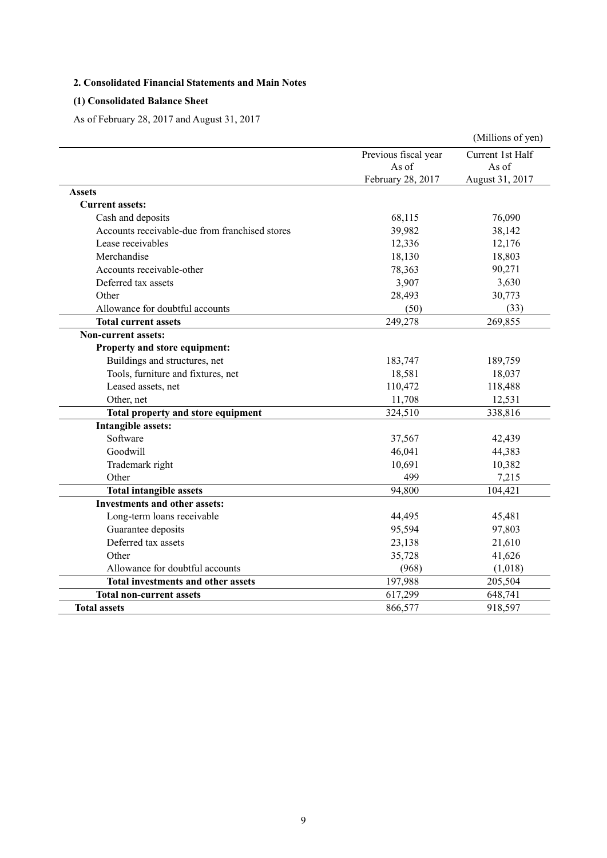## **2. Consolidated Financial Statements and Main Notes**

# **(1) Consolidated Balance Sheet**

As of February 28, 2017 and August 31, 2017

|                                                |                      | (Millions of yen) |
|------------------------------------------------|----------------------|-------------------|
|                                                | Previous fiscal year | Current 1st Half  |
|                                                | As of                | As of             |
|                                                | February 28, 2017    | August 31, 2017   |
| <b>Assets</b>                                  |                      |                   |
| <b>Current assets:</b>                         |                      |                   |
| Cash and deposits                              | 68,115               | 76,090            |
| Accounts receivable-due from franchised stores | 39,982               | 38,142            |
| Lease receivables                              | 12,336               | 12,176            |
| Merchandise                                    | 18,130               | 18,803            |
| Accounts receivable-other                      | 78,363               | 90,271            |
| Deferred tax assets                            | 3,907                | 3,630             |
| Other                                          | 28,493               | 30,773            |
| Allowance for doubtful accounts                | (50)                 | (33)              |
| <b>Total current assets</b>                    | 249,278              | 269,855           |
| <b>Non-current assets:</b>                     |                      |                   |
| Property and store equipment:                  |                      |                   |
| Buildings and structures, net                  | 183,747              | 189,759           |
| Tools, furniture and fixtures, net             | 18,581               | 18,037            |
| Leased assets, net                             | 110,472              | 118,488           |
| Other, net                                     | 11,708               | 12,531            |
| Total property and store equipment             | 324,510              | 338,816           |
| <b>Intangible assets:</b>                      |                      |                   |
| Software                                       | 37,567               | 42,439            |
| Goodwill                                       | 46,041               | 44,383            |
| Trademark right                                | 10,691               | 10,382            |
| Other                                          | 499                  | 7,215             |
| <b>Total intangible assets</b>                 | 94,800               | 104,421           |
| <b>Investments and other assets:</b>           |                      |                   |
| Long-term loans receivable                     | 44,495               | 45,481            |
| Guarantee deposits                             | 95,594               | 97,803            |
| Deferred tax assets                            | 23,138               | 21,610            |
| Other                                          | 35,728               | 41,626            |
| Allowance for doubtful accounts                | (968)                | (1,018)           |
| Total investments and other assets             | 197,988              | 205,504           |
| <b>Total non-current assets</b>                | 617,299              | 648,741           |
| <b>Total assets</b>                            | 866,577              | 918,597           |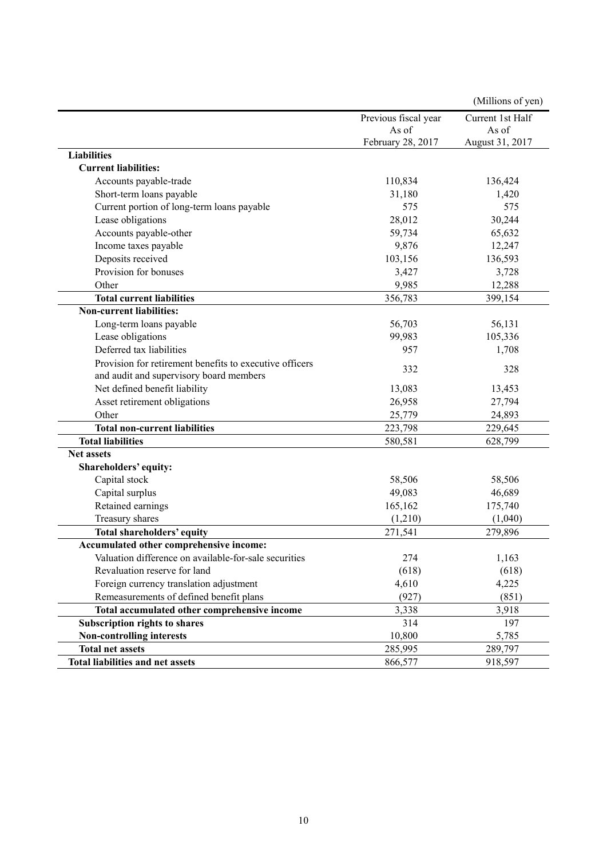|                                                         |                      | (Millions of yen) |
|---------------------------------------------------------|----------------------|-------------------|
|                                                         | Previous fiscal year | Current 1st Half  |
|                                                         | As of                | As of             |
|                                                         | February 28, 2017    | August 31, 2017   |
| <b>Liabilities</b>                                      |                      |                   |
| <b>Current liabilities:</b>                             |                      |                   |
| Accounts payable-trade                                  | 110,834              | 136,424           |
| Short-term loans payable                                | 31,180               | 1,420             |
| Current portion of long-term loans payable              | 575                  | 575               |
| Lease obligations                                       | 28,012               | 30,244            |
| Accounts payable-other                                  | 59,734               | 65,632            |
| Income taxes payable                                    | 9,876                | 12,247            |
| Deposits received                                       | 103,156              | 136,593           |
| Provision for bonuses                                   | 3,427                | 3,728             |
| Other                                                   | 9,985                | 12,288            |
| <b>Total current liabilities</b>                        | 356,783              | 399,154           |
| <b>Non-current liabilities:</b>                         |                      |                   |
| Long-term loans payable                                 | 56,703               | 56,131            |
| Lease obligations                                       | 99,983               | 105,336           |
| Deferred tax liabilities                                | 957                  | 1,708             |
| Provision for retirement benefits to executive officers |                      |                   |
| and audit and supervisory board members                 | 332                  | 328               |
| Net defined benefit liability                           | 13,083               | 13,453            |
| Asset retirement obligations                            | 26,958               | 27,794            |
| Other                                                   | 25,779               | 24,893            |
| <b>Total non-current liabilities</b>                    | 223,798              | 229,645           |
| <b>Total liabilities</b>                                | 580,581              | 628,799           |
| <b>Net assets</b>                                       |                      |                   |
| Shareholders' equity:                                   |                      |                   |
| Capital stock                                           | 58,506               | 58,506            |
| Capital surplus                                         | 49,083               | 46,689            |
| Retained earnings                                       | 165,162              | 175,740           |
| Treasury shares                                         | (1,210)              | (1,040)           |
| Total shareholders' equity                              | 271,541              | 279,896           |
| Accumulated other comprehensive income:                 |                      |                   |
| Valuation difference on available-for-sale securities   | 274                  | 1,163             |
| Revaluation reserve for land                            | (618)                | (618)             |
| Foreign currency translation adjustment                 | 4,610                | 4,225             |
| Remeasurements of defined benefit plans                 | (927)                | (851)             |
| Total accumulated other comprehensive income            | 3,338                | 3,918             |
| Subscription rights to shares                           | 314                  | 197               |
| Non-controlling interests                               | 10,800               | 5,785             |
| <b>Total net assets</b>                                 | 285,995              | 289,797           |
| Total liabilities and net assets                        | 866,577              | 918,597           |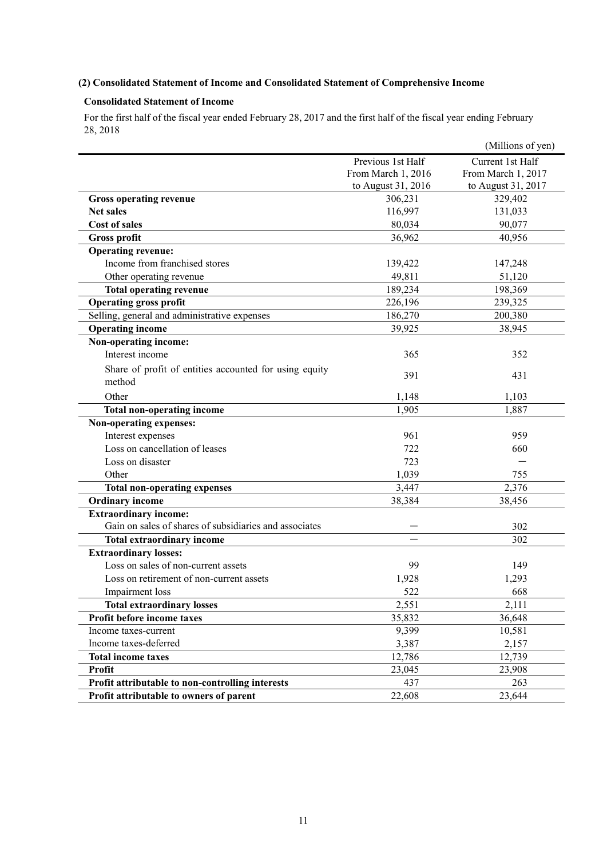## **(2) Consolidated Statement of Income and Consolidated Statement of Comprehensive Income**

## **Consolidated Statement of Income**

For the first half of the fiscal year ended February 28, 2017 and the first half of the fiscal year ending February 28, 2018

|                                                        |                    | (Millions of yen)  |
|--------------------------------------------------------|--------------------|--------------------|
|                                                        | Previous 1st Half  | Current 1st Half   |
|                                                        | From March 1, 2016 | From March 1, 2017 |
|                                                        | to August 31, 2016 | to August 31, 2017 |
| <b>Gross operating revenue</b>                         | 306,231            | 329,402            |
| <b>Net sales</b>                                       | 116,997            | 131,033            |
| <b>Cost of sales</b>                                   | 80,034             | 90,077             |
| <b>Gross profit</b>                                    | 36,962             | 40,956             |
| <b>Operating revenue:</b>                              |                    |                    |
| Income from franchised stores                          | 139,422            | 147,248            |
| Other operating revenue                                | 49,811             | 51,120             |
| <b>Total operating revenue</b>                         | 189,234            | 198,369            |
| <b>Operating gross profit</b>                          | 226,196            | 239,325            |
| Selling, general and administrative expenses           | 186,270            | 200,380            |
| <b>Operating income</b>                                | 39,925             | 38,945             |
| Non-operating income:                                  |                    |                    |
| Interest income                                        | 365                | 352                |
| Share of profit of entities accounted for using equity |                    |                    |
| method                                                 | 391                | 431                |
| Other                                                  | 1,148              | 1,103              |
| <b>Total non-operating income</b>                      | 1,905              | 1,887              |
| Non-operating expenses:                                |                    |                    |
| Interest expenses                                      | 961                | 959                |
| Loss on cancellation of leases                         | 722                | 660                |
| Loss on disaster                                       | 723                |                    |
| Other                                                  | 1,039              | 755                |
| <b>Total non-operating expenses</b>                    | 3,447              | 2,376              |
| <b>Ordinary income</b>                                 | 38,384             | 38,456             |
| <b>Extraordinary income:</b>                           |                    |                    |
| Gain on sales of shares of subsidiaries and associates |                    | 302                |
| <b>Total extraordinary income</b>                      |                    | 302                |
| <b>Extraordinary losses:</b>                           |                    |                    |
| Loss on sales of non-current assets                    | 99                 | 149                |
| Loss on retirement of non-current assets               | 1,928              | 1,293              |
| Impairment loss                                        | 522                | 668                |
| <b>Total extraordinary losses</b>                      | 2,551              | 2,111              |
| Profit before income taxes                             | 35,832             | 36,648             |
| Income taxes-current                                   | 9,399              | 10,581             |
| Income taxes-deferred                                  | 3,387              | 2,157              |
| <b>Total income taxes</b>                              | 12,786             | 12,739             |
| <b>Profit</b>                                          | 23,045             | 23,908             |
| Profit attributable to non-controlling interests       | 437                | 263                |
| Profit attributable to owners of parent                | 22,608             | 23,644             |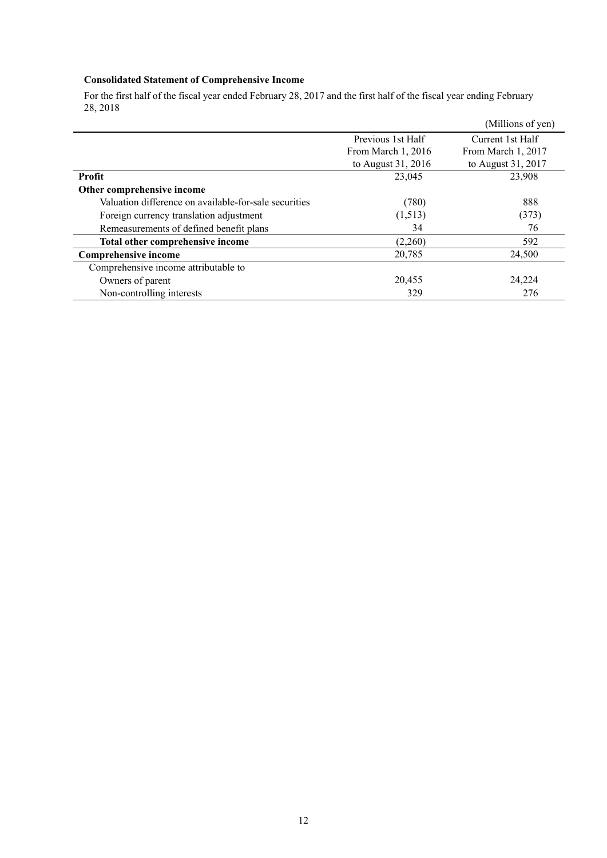## **Consolidated Statement of Comprehensive Income**

For the first half of the fiscal year ended February 28, 2017 and the first half of the fiscal year ending February 28, 2018

|                                                       |                    | (Millions of yen)  |
|-------------------------------------------------------|--------------------|--------------------|
|                                                       | Previous 1st Half  | Current 1st Half   |
|                                                       | From March 1, 2016 | From March 1, 2017 |
|                                                       | to August 31, 2016 | to August 31, 2017 |
| <b>Profit</b>                                         | 23,045             | 23,908             |
| Other comprehensive income                            |                    |                    |
| Valuation difference on available-for-sale securities | (780)              | 888                |
| Foreign currency translation adjustment               | (1,513)            | (373)              |
| Remeasurements of defined benefit plans               | 34                 | 76                 |
| Total other comprehensive income                      | (2,260)            | 592                |
| <b>Comprehensive income</b>                           | 20,785             | 24,500             |
| Comprehensive income attributable to                  |                    |                    |
| Owners of parent                                      | 20,455             | 24,224             |
| Non-controlling interests                             | 329                | 276                |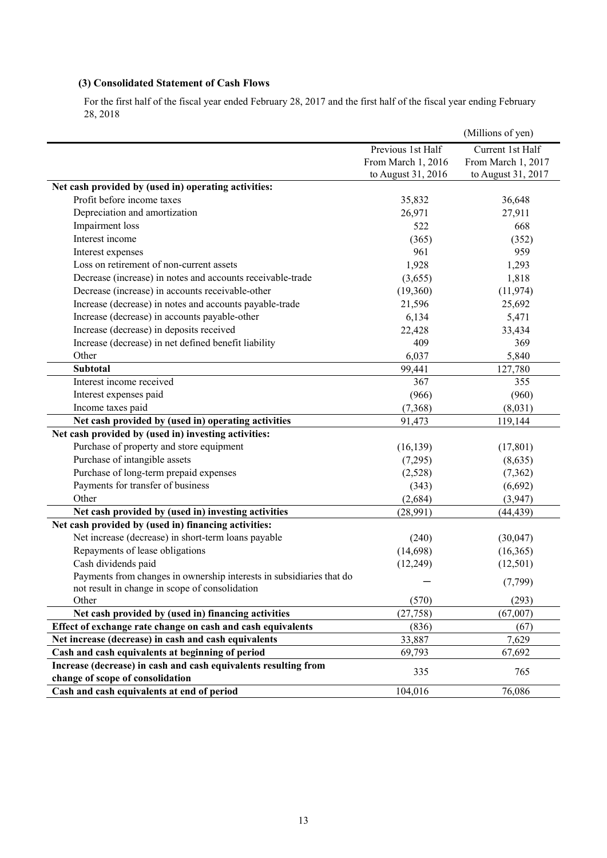## **(3) Consolidated Statement of Cash Flows**

For the first half of the fiscal year ended February 28, 2017 and the first half of the fiscal year ending February 28, 2018

|                                                                                                     |                    | (Millions of yen)  |
|-----------------------------------------------------------------------------------------------------|--------------------|--------------------|
|                                                                                                     | Previous 1st Half  | Current 1st Half   |
|                                                                                                     | From March 1, 2016 | From March 1, 2017 |
|                                                                                                     | to August 31, 2016 | to August 31, 2017 |
| Net cash provided by (used in) operating activities:                                                |                    |                    |
| Profit before income taxes                                                                          | 35,832             | 36,648             |
| Depreciation and amortization                                                                       | 26,971             | 27,911             |
| Impairment loss                                                                                     | 522                | 668                |
| Interest income                                                                                     | (365)              | (352)              |
| Interest expenses                                                                                   | 961                | 959                |
| Loss on retirement of non-current assets                                                            | 1,928              | 1,293              |
| Decrease (increase) in notes and accounts receivable-trade                                          | (3,655)            | 1,818              |
| Decrease (increase) in accounts receivable-other                                                    | (19,360)           | (11, 974)          |
| Increase (decrease) in notes and accounts payable-trade                                             | 21,596             | 25,692             |
| Increase (decrease) in accounts payable-other                                                       | 6,134              | 5,471              |
| Increase (decrease) in deposits received                                                            | 22,428             | 33,434             |
| Increase (decrease) in net defined benefit liability                                                | 409                | 369                |
| Other                                                                                               | 6,037              | 5,840              |
| <b>Subtotal</b>                                                                                     | 99,441             | 127,780            |
| Interest income received                                                                            | 367                | 355                |
| Interest expenses paid                                                                              | (966)              | (960)              |
| Income taxes paid                                                                                   | (7,368)            | (8,031)            |
| Net cash provided by (used in) operating activities                                                 | 91,473             | 119,144            |
| Net cash provided by (used in) investing activities:                                                |                    |                    |
| Purchase of property and store equipment                                                            | (16, 139)          | (17, 801)          |
| Purchase of intangible assets                                                                       | (7,295)            | (8,635)            |
| Purchase of long-term prepaid expenses                                                              | (2,528)            | (7, 362)           |
| Payments for transfer of business                                                                   | (343)              | (6,692)            |
| Other                                                                                               | (2,684)            | (3,947)            |
| Net cash provided by (used in) investing activities                                                 | (28,991)           | (44, 439)          |
| Net cash provided by (used in) financing activities:                                                |                    |                    |
| Net increase (decrease) in short-term loans payable                                                 | (240)              | (30,047)           |
| Repayments of lease obligations                                                                     | (14, 698)          | (16,365)           |
| Cash dividends paid                                                                                 | (12, 249)          | (12, 501)          |
| Payments from changes in ownership interests in subsidiaries that do                                |                    |                    |
| not result in change in scope of consolidation                                                      |                    | (7, 799)           |
| Other                                                                                               | (570)              | (293)              |
| Net cash provided by (used in) financing activities                                                 | (27, 758)          | (67,007)           |
| Effect of exchange rate change on cash and cash equivalents                                         | (836)              | (67)               |
| Net increase (decrease) in cash and cash equivalents                                                | 33,887             | 7,629              |
| Cash and cash equivalents at beginning of period                                                    | 69,793             | 67,692             |
| Increase (decrease) in cash and cash equivalents resulting from<br>change of scope of consolidation | 335                | 765                |
| Cash and cash equivalents at end of period                                                          | 104,016            | 76,086             |